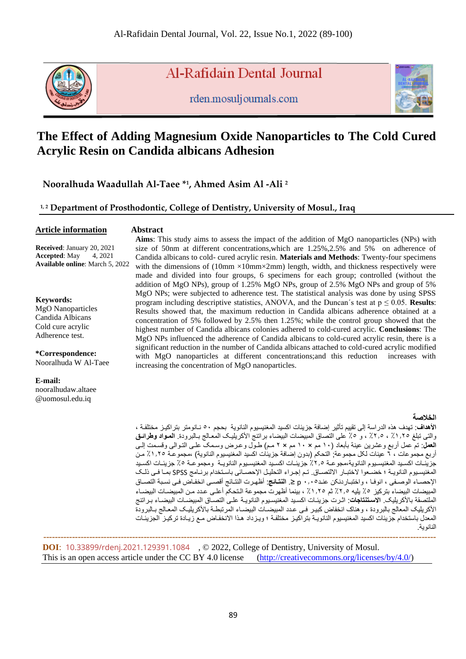

Al-Rafidain Dental Journal

rden.mosuljournals.com



# **The Effect of Adding Magnesium Oxide Nanoparticles to The Cold Cured Acrylic Resin on Candida albicans Adhesion**

**Nooralhuda Waadullah Al-Taee \* 1 , Ahmed Asim Al -Ali <sup>2</sup>**

**1, 2 Department of Prosthodontic, College of Dentistry, University of Mosul., Iraq**

#### **Article information**

#### **Abstract**

**Received:** January 20, 2021<br>**Accepted:** May 4, 2021 **Accepted:** May **Available online**: March 5, 2022

#### **Keywords:**

MgO Nanoparticles Candida Albicans Cold cure acrylic Adherence test.

**\*Correspondence:** Nooralhuda W Al-Taee

**E-mail:** nooralhudaw.altaee

@uomosul.edu.iq

**Aims**: This study aims to assess the impact of the addition of MgO nanoparticles (NPs) with size of 50nm at different concentrations,which are 1.25%,2.5% and 5% on adherence of Candida albicans to cold- cured acrylic resin. **Materials and Methods**: Twenty-four specimens with the dimensions of  $(10\text{mm} \times 10\text{mm} \times 2\text{mm})$  length, width, and thickness respectively were made and divided into four groups, 6 specimens for each group; controlled (without the addition of MgO NPs), group of 1.25% MgO NPs, group of 2.5% MgO NPs and group of 5% MgO NPs; were subjected to adherence test. The statistical analysis was done by using SPSS program including descriptive statistics, ANOVA, and the Duncan's test at  $p \leq 0.05$ . **Results**: Results showed that, the maximum reduction in Candida albicans adherence obtained at a concentration of 5% followed by 2.5% then 1.25%; while the control group showed that the highest number of Candida albicans colonies adhered to cold-cured acrylic. **Conclusions**: The MgO NPs influenced the adherence of Candida albicans to cold-cured acrylic resin, there is a significant reduction in the number of Candida albicans attached to cold-cured acrylic modified with MgO nanoparticles at different concentrations;and this reduction increases with increasing the concentration of MgO nanoparticles.

#### **الخالصة**

**األهداف**: تهدف هذه الدراسة إلى تقییم تأثیر إضافة جزیئات اکسید المغنیسیوم النانویة بحجم 50 ناانومتر بتراکیاز مختلفاة والتی تبلغ ٪1.25 ٪2.5 و ٪5 على التصاق المبیضات البیضاء براتنج األکریلیاک المعاالج باالبرود **المواادواطرائوق العمل**: تم عمل أربع وعشرین عینة بأبعاد )10 مم × 10 مم × 2 مام واول وعارس وسامک علاى التاوالی وقسامت إلاى أربع مجموعات ، ٦ عینات لکل مجموعة; التحکم (بدون إضافة جزیئات اکسید المغنیسیوم النانویة) ،مجموعـة ١.٢٥٪ مـن جزیئــات اکســيد المغنيسـيوم النانویـة،مجوعــة ٪2٪ جزیئــات اکسـيد المغنيسـيوم النانویـــة و مجموعــة ◊٪ جزیئــات اکســيد المغنیسیوم النانویـة ؛ خضـعوا لاختبـار الالتصـاق تـم إجـراء التحلیل الإحصـائی باستخدام برنـامج SPSS بمـا فـي ذلـك الإحصـاء الوصـفي ، انوفـا ، واختبـاردنكن عنـد0 · , • p ≤ ا**لنتـائج**: أظهـرت النتـائج أقصـي انخفـاض فـي نسبة التصـاق المبیضات البیضاء بترکیز 2٪ یلیه °2.5٪ ثم 1,0٪ ، بینما أظهرت مجموعة الـتحکم أعلـي عـدد مـن المبیضــات البیضــاء الملتصقة بالأكریلیک **الاستنتاجات**: اثرت جزیئات اکسید المغنیسیوم النانویـة علـى التصـاق المبیضـات البیضـاء بـراتنج الأكريلیک المعالج بالبرودة ، وهناک انخفاض كبیر فـی عدد المبیضــات البیضــاء المرتبطــة بالأكریلیــک المعـالج بـالبرودة المعدل باستخدام جزیئات اکسید المغنیسیوم النانوییة بتر اکیـز مختلفـة ؛ ویـزداد هـذا الانخفـاض مـع زیـادة ترکیـز الجزیئـات النانویة

 **----------------------------------------------------------------------------------------------------------------------------------------- DOI**: [10.33899/rdenj.2021.129391.1084](http://dx.doi.org/10.33899/rdenj.2021.129391.1084) , © 2022, College of Dentistry, University of Mosul. This is an open access article under the CC BY 4.0 license [\(http://creativecommons.org/licenses/by/4.0/\)](http://creativecommons.org/licenses/by/4.0/)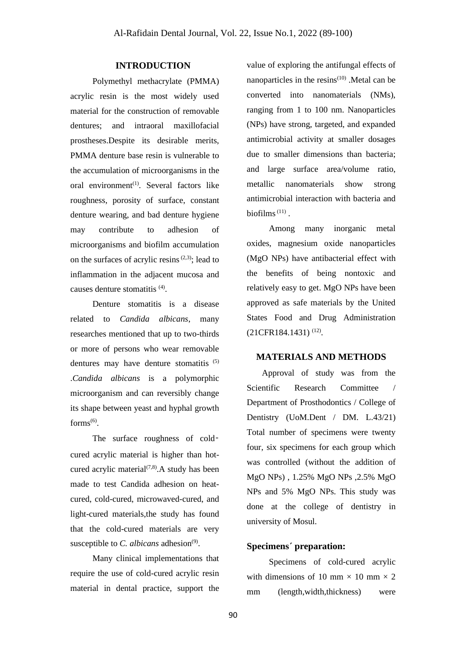# **INTRODUCTION**

Polymethyl methacrylate (PMMA) acrylic resin is the most widely used material for the construction of removable dentures; and intraoral maxillofacial prostheses.Despite its desirable merits, PMMA denture base resin is vulnerable to the accumulation of microorganisms in the oral environment<sup>(1)</sup>. Several factors like roughness, porosity of surface, constant denture wearing, and bad denture hygiene may contribute to adhesion of microorganisms and biofilm accumulation on the surfaces of acrylic resins<sup> $(2,3)$ </sup>; lead to inflammation in the adjacent mucosa and causes denture stomatitis <sup>(4)</sup>.

Denture stomatitis is a disease related to *Candida albicans*, many researches mentioned that up to two-thirds or more of persons who wear removable dentures may have denture stomatitis (5) .*Candida albicans* is a polymorphic microorganism and can reversibly change its shape between yeast and hyphal growth forms $^{(6)}$ .

The surface roughness of coldcured acrylic material is higher than hotcured acrylic material $(7,8)$ . A study has been made to test Candida adhesion on heatcured, cold-cured, microwaved-cured, and light-cured materials,the study has found that the cold-cured materials are very susceptible to *C. albicans* adhesion<sup>(9)</sup>.

Many clinical implementations that require the use of cold-cured acrylic resin material in dental practice, support the value of exploring the antifungal effects of nanoparticles in the resins $(10)$ . Metal can be converted into nanomaterials (NMs), ranging from 1 to 100 nm. Nanoparticles (NPs) have strong, targeted, and expanded antimicrobial activity at smaller dosages due to smaller dimensions than bacteria; and large surface area/volume ratio, metallic nanomaterials show strong antimicrobial interaction with bacteria and biofilms $(11)$ .

Among many inorganic metal oxides, magnesium oxide nanoparticles (MgO NPs) have antibacterial effect with the benefits of being nontoxic and relatively easy to get. MgO NPs have been approved as safe materials by the United States Food and Drug Administration  $(21CFR184.1431)^{(12)}$ .

# **MATERIALS AND METHODS**

 Approval of study was from the Scientific Research Committee / Department of Prosthodontics / College of Dentistry (UoM.Dent / DM. L.43/21) Total number of specimens were twenty four, six specimens for each group which was controlled (without the addition of MgO NPs) , 1.25% MgO NPs ,2.5% MgO NPs and 5% MgO NPs. This study was done at the college of dentistry in university of Mosul.

# **Specimens΄ preparation:**

Specimens of cold-cured acrylic with dimensions of 10 mm  $\times$  10 mm  $\times$  2 mm (length,width,thickness) were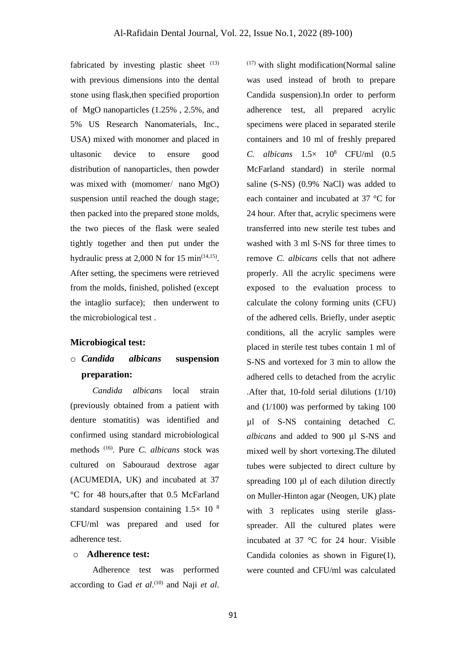fabricated by investing plastic sheet  $(13)$ with previous dimensions into the dental stone using flask,then specified proportion of MgO nanoparticles (1.25% , 2.5%, and 5% US Research Nanomaterials, Inc., USA) mixed with monomer and placed in ultasonic device to ensure good distribution of nanoparticles, then powder was mixed with (momomer/ nano MgO) suspension until reached the dough stage; then packed into the prepared stone molds, the two pieces of the flask were sealed tightly together and then put under the hydraulic press at  $2,000 \text{ N}$  for 15 min<sup> $(14,15)$ </sup>. After setting, the specimens were retrieved from the molds, finished, polished (except the intaglio surface); then underwent to the microbiological test .

#### **Microbiogical test:**

# o *Candida albicans* **suspension preparation:**

*Candida albicans* local strain (previously obtained from a patient with denture stomatitis) was identified and confirmed using standard microbiological methods (16) . Pure *C. albicans* stock was cultured on Sabouraud dextrose agar (ACUMEDIA, UK) and incubated at 37 °C for 48 hours,after that 0.5 McFarland standard suspension containing  $1.5 \times 10^{-8}$ CFU/ml was prepared and used for adherence test.

# o **Adherence test:**

Adherence test was performed according to Gad *et al*. (10) and Naji *et al*.

 $(17)$  with slight modification(Normal saline was used instead of broth to prepare Candida suspension).In order to perform adherence test, all prepared acrylic specimens were placed in separated sterile containers and 10 ml of freshly prepared *C. albicans* 1.5× 10<sup>8</sup> CFU/ml (0.5 McFarland standard) in sterile normal saline (S-NS) (0.9% NaCl) was added to each container and incubated at 37 °C for 24 hour. After that, acrylic specimens were transferred into new sterile test tubes and washed with 3 ml S-NS for three times to remove *C. albicans* cells that not adhere properly. All the acrylic specimens were exposed to the evaluation process to calculate the colony forming units (CFU) of the adhered cells. Briefly, under aseptic conditions, all the acrylic samples were placed in sterile test tubes contain 1 ml of S-NS and vortexed for 3 min to allow the adhered cells to detached from the acrylic .After that, 10-fold serial dilutions (1/10) and (1/100) was performed by taking 100 µl of S-NS containing detached *C. albicans* and added to 900 µl S-NS and mixed well by short vortexing.The diluted tubes were subjected to direct culture by spreading 100 µl of each dilution directly on Muller-Hinton agar (Neogen, UK) plate with 3 replicates using sterile glassspreader. All the cultured plates were incubated at 37 °C for 24 hour. Visible Candida colonies as shown in Figure(1), were counted and CFU/ml was calculated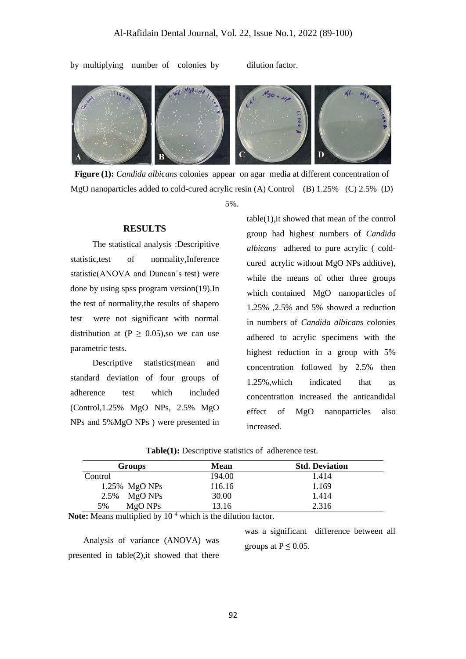by multiplying number of colonies by dilution factor.



**Figure (1):** *Candida albicans* colonies appear on agar media at different concentration of MgO nanoparticles added to cold-cured acrylic resin (A) Control (B) 1.25% (C) 2.5% (D) 5%.

#### **RESULTS**

The statistical analysis :Descripitive statistic,test of normality,Inference statistic(ANOVA and Duncan΄s test) were done by using spss program version(19).In the test of normality,the results of shapero test were not significant with normal distribution at ( $P \ge 0.05$ ), so we can use parametric tests.

Descriptive statistics(mean and standard deviation of four groups of adherence test which included (Control,1.25% MgO NPs, 2.5% MgO NPs and 5%MgO NPs ) were presented in table(1),it showed that mean of the control group had highest numbers of *Candida albicans* adhered to pure acrylic ( coldcured acrylic without MgO NPs additive), while the means of other three groups which contained MgO nanoparticles of 1.25% ,2.5% and 5% showed a reduction in numbers of *Candida albicans* colonies adhered to acrylic specimens with the highest reduction in a group with 5% concentration followed by 2.5% then 1.25%,which indicated that as concentration increased the anticandidal effect of MgO nanoparticles also increased.

| <b>Groups</b>    | <b>Mean</b> | <b>Std. Deviation</b> |
|------------------|-------------|-----------------------|
| Control          | 194.00      | 1.414                 |
| $1.25\%$ MgO NPs | 116.16      | 1.169                 |
| $2.5\%$ MgO NPs  | 30.00       | 1.414                 |
| MgO NPs<br>5%    | 13.16       | 2.316                 |

**Table(1):** Descriptive statistics of adherence test.

Note: Means multiplied by 10<sup>4</sup> which is the dilution factor.

 Analysis of variance (ANOVA) was presented in table(2),it showed that there

was a significant difference between all groups at  $P \leq 0.05$ .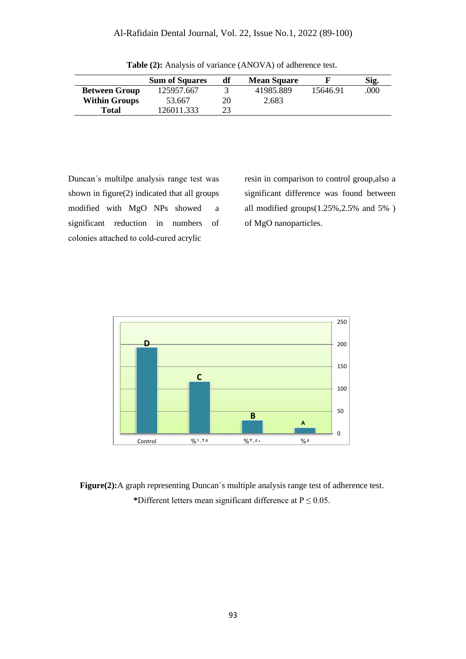|                      | <b>Sum of Squares</b> | df | <b>Mean Square</b> |          | Sig. |
|----------------------|-----------------------|----|--------------------|----------|------|
| <b>Between Group</b> | 125957.667            |    | 41985.889          | 15646.91 | .000 |
| <b>Within Groups</b> | 53.667                | 20 | 2.683              |          |      |
| <b>Total</b>         | 126011.333            | 23 |                    |          |      |

**Table (2):** Analysis of variance (ANOVA) of adherence test.

Duncan΄s multilpe analysis range test was shown in figure(2) indicated that all groups modified with MgO NPs showed a significant reduction in numbers of colonies attached to cold-cured acrylic

resin in comparison to control group,also a significant difference was found between all modified groups(1.25%,2.5% and 5% ) of MgO nanoparticles.



**Figure(2):**A graph representing Duncan΄s multiple analysis range test of adherence test. \*Different letters mean significant difference at  $P \le 0.05$ .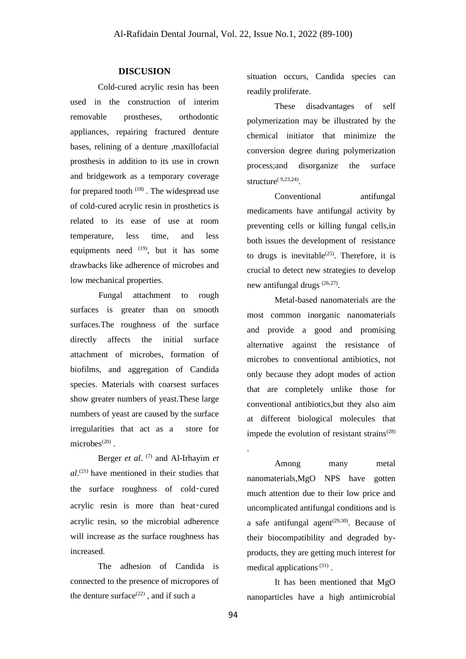# **DISCUSION**

Cold-cured acrylic resin has been used in the construction of interim removable prostheses, orthodontic appliances, repairing fractured denture bases, relining of a denture ,maxillofacial prosthesis in addition to its use in crown and bridgework as a temporary coverage for prepared tooth  $(18)$ . The widespread use of cold-cured acrylic resin in prosthetics is related to its ease of use at room temperature, less time, and less equipments need  $(19)$ , but it has some drawbacks like adherence of microbes and low mechanical properties.

Fungal attachment to rough surfaces is greater than on smooth surfaces.The roughness of the surface directly affects the initial surface attachment of microbes, formation of biofilms, and aggregation of Candida species. Materials with coarsest surfaces show greater numbers of yeast.These large numbers of yeast are caused by the surface irregularities that act as a store for  $microbes^{(20)}$ .

Berger *et al*. (7) and Al-Irhayim *et al*. (21) have mentioned in their studies that the surface roughness of cold-cured acrylic resin is more than heat-cured acrylic resin, so the microbial adherence will increase as the surface roughness has increased.

The adhesion of Candida is connected to the presence of micropores of the denture surface $(22)$ , and if such a

situation occurs, Candida species can readily proliferate.

These disadvantages of self polymerization may be illustrated by the chemical initiator that minimize the conversion degree during polymerization process;and disorganize the surface structure $^{(9,23,24)}$ .

Conventional antifungal medicaments have antifungal activity by preventing cells or killing fungal cells,in both issues the development of resistance to drugs is inevitable<sup> $(25)$ </sup>. Therefore, it is crucial to detect new strategies to develop new antifungal drugs  $(26,27)$ .

Metal-based nanomaterials are the most common inorganic nanomaterials and provide a good and promising alternative against the resistance of microbes to conventional antibiotics, not only because they adopt modes of action that are completely unlike those for conventional antibiotics,but they also aim at different biological molecules that impede the evolution of resistant strains $(28)$ 

Among many metal nanomaterials,MgO NPS have gotten much attention due to their low price and uncomplicated antifungal conditions and is a safe antifungal agent<sup> $(29,30)$ </sup>. Because of their biocompatibility and degraded byproducts, they are getting much interest for medical applications  $(31)$ .

It has been mentioned that MgO nanoparticles have a high antimicrobial

.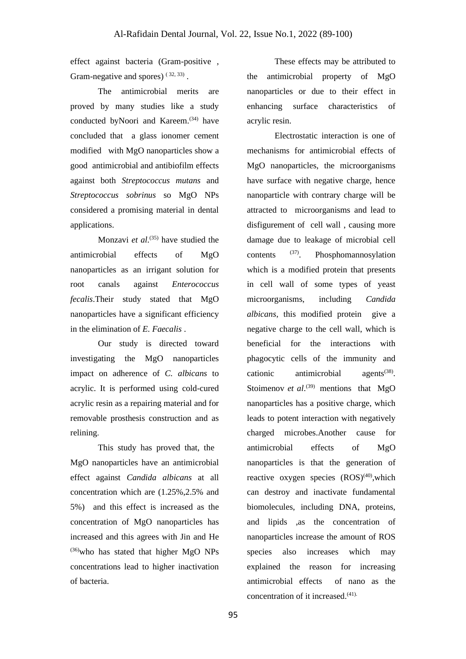effect against bacteria (Gram-positive , Gram-negative and spores)  $(32, 33)$ .

The antimicrobial merits are proved by many studies like a study conducted byNoori and Kareem. (34) have concluded that a glass ionomer cement modified with MgO nanoparticles show a good antimicrobial and antibiofilm effects against both *Streptococcus mutans* and *Streptococcus sobrinus* so MgO NPs considered a promising material in dental applications.

Monzavi *et al*. (35) have studied the antimicrobial effects of MgO nanoparticles as an irrigant solution for root canals against *Enterococcus fecalis*.Their study stated that MgO nanoparticles have a significant efficiency in the elimination of *E. Faecalis* .

Our study is directed toward investigating the MgO nanoparticles impact on adherence of *C. albicans* to acrylic. It is performed using cold-cured acrylic resin as a repairing material and for removable prosthesis construction and as relining.

This study has proved that, the MgO nanoparticles have an antimicrobial effect against *Candida albicans* at all concentration which are (1.25%,2.5% and 5%) and this effect is increased as the concentration of MgO nanoparticles has increased and this agrees with Jin and He (36)who has stated that higher MgO NPs concentrations lead to higher inactivation of bacteria.

These effects may be attributed to the antimicrobial property of MgO nanoparticles or due to their effect in enhancing surface characteristics of acrylic resin.

Electrostatic interaction is one of mechanisms for antimicrobial effects of MgO nanoparticles, the microorganisms have surface with negative charge, hence nanoparticle with contrary charge will be attracted to microorganisms and lead to disfigurement of cell wall , causing more damage due to leakage of microbial cell contents  $^{(37)}$ . . Phosphomannosylation which is a modified protein that presents in cell wall of some types of yeast microorganisms, including *Candida albicans*, this modified protein give a negative charge to the cell wall, which is beneficial for the interactions with phagocytic cells of the immunity and cationic antimicrobial  $a$  gents<sup> $(38)$ </sup>. Stoimenov *et al.*<sup>(39)</sup> mentions that MgO nanoparticles has a positive charge, which leads to potent interaction with negatively charged microbes.Another cause for antimicrobial effects of MgO nanoparticles is that the generation of reactive oxygen species  $(ROS)^{(40)}$ , which can destroy and inactivate fundamental biomolecules, including DNA, proteins, and lipids ,as the concentration of nanoparticles increase the amount of ROS species also increases which may explained the reason for increasing antimicrobial effects of nano as the concentration of it increased. (41).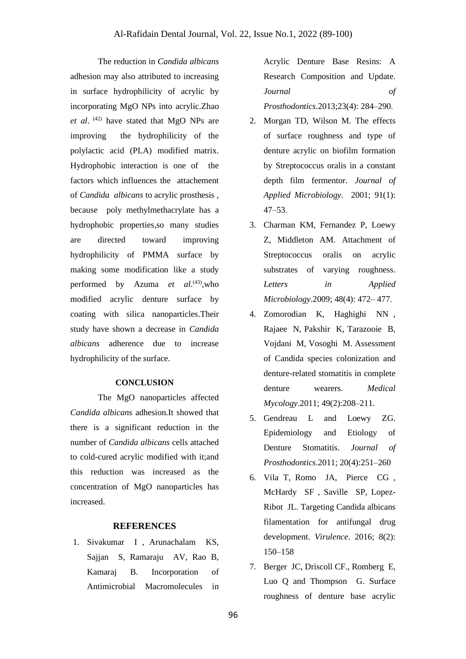The reduction in *Candida albicans* adhesion may also attributed to increasing in surface hydrophilicity of acrylic by incorporating MgO NPs into acrylic.Zhao *et al*. (42) have stated that MgO NPs are improving the hydrophilicity of the polylactic acid (PLA) modified matrix. Hydrophobic interaction is one of the factors which influences the attachement of *Candida albicans* to acrylic prosthesis , because poly methylmethacrylate has a hydrophobic properties,so many studies are directed toward improving hydrophilicity of PMMA surface by making some modification like a study performed by Azuma *et al*. (43) ,who modified acrylic denture surface by coating with silica nanoparticles.Their study have shown a decrease in *Candida albicans* adherence due to increase hydrophilicity of the surface.

## **CONCLUSION**

The MgO nanoparticles affected *Candida albicans* adhesion.It showed that there is a significant reduction in the number of *Candida albicans* cells attached to cold-cured acrylic modified with it;and this reduction was increased as the concentration of MgO nanoparticles has increased.

## **REFERENCES**

1. Sivakumar I , Arunachalam KS, Sajjan S, Ramaraju AV, Rao B, Kamaraj B. Incorporation of Antimicrobial Macromolecules in

Acrylic Denture Base Resins: A Research Composition and Update. *Journal of Prosthodontics*.2013;23(4): 284–290 .

- 2. Morgan TD, Wilson M. The effects of surface roughness and type of denture acrylic on biofilm formation by Streptococcus oralis in a constant depth film fermentor. *Journal of Applied Microbiology*. 2001; 91(1): 47–53 .
- 3. Charman KM, Fernandez P, Loewy Z, Middleton AM. Attachment of Streptococcus oralis on acrylic substrates of varying roughness. *Letters in Applied Microbiology*.2009; 48(4): 472– 477 .
- 4. Zomorodian K, Haghighi NN , Rajaee N, Pakshir K, Tarazooie B, Vojdani M, Vosoghi M. Assessment of Candida species colonization and denture-related stomatitis in complete denture wearers. *Medical Mycology*.2011; 49(2):208–211.
- 5. Gendreau L and Loewy ZG. Epidemiology and Etiology of Denture Stomatitis. *Journal of Prosthodontics*.2011; 20(4):251–260
- 6. Vila T, Romo JA, Pierce CG , McHardy SF , Saville SP, Lopez-Ribot JL. Targeting Candida albicans filamentation for antifungal drug development. *Virulence*. 2016; 8(2): 150–158
- 7. Berger JC, Driscoll CF., Romberg E, Luo Q and Thompson G. Surface roughness of denture base acrylic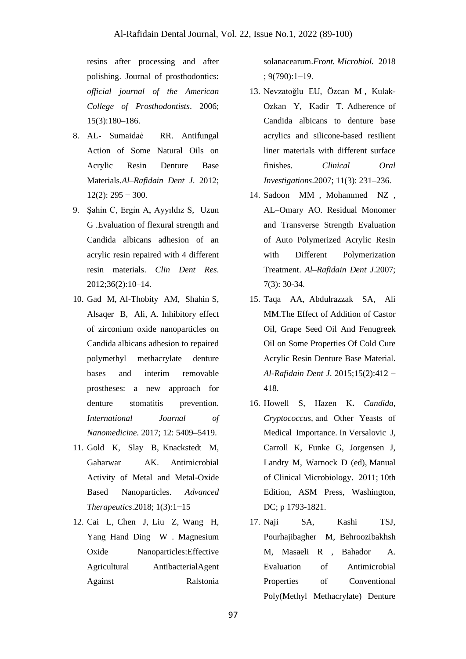resins after processing and after polishing. Journal of prosthodontics: *official journal of the American College of Prosthodontists*. 2006; 15(3):180–186.

- 8. AL- Sumaidaẻ RR. Antifungal Action of Some Natural Oils on Acrylic Resin Denture Base Materials.*Al–Rafidain Dent J*. 2012;  $12(2)$ : 295 – 300.
- 9. Şahin C, Ergin A, Ayyıldız S, Uzun G .Evaluation of flexural strength and Candida albicans adhesion of an acrylic resin repaired with 4 different resin materials. *Clin Dent Res*. 2012;36(2):10–14.
- 10. Gad M, Al-Thobity AM, Shahin S, Alsaqer B, Ali, A. Inhibitory effect of zirconium oxide nanoparticles on Candida albicans adhesion to repaired polymethyl methacrylate denture bases and interim removable prostheses: a new approach for denture stomatitis prevention. *International Journal of Nanomedicine*. 2017; 12: 5409–5419.
- 11. Gold K, Slay B, Knackstedt M, Gaharwar AK. Antimicrobial Activity of Metal and Metal-Oxide Based Nanoparticles. *Advanced Therapeutics*.2018; 1(3):1−15
- 12. Cai L, Chen J, Liu Z, Wang H, Yang Hand Ding W. Magnesium Oxide Nanoparticles:Effective Agricultural AntibacterialAgent Against Ralstonia

solanacearum.*Front. Microbiol.* 2018 ; 9(790):1−19.

- 13. Nevzatoğlu EU, Özcan M , Kulak-Ozkan Y, Kadir T. Adherence of Candida albicans to denture base acrylics and silicone-based resilient liner materials with different surface finishes. *Clinical Oral Investigations*.2007; 11(3): 231–236.
- 14. Sadoon MM , Mohammed NZ , AL–Omary AO. Residual Monomer and Transverse Strength Evaluation of Auto Polymerized Acrylic Resin with Different Polymerization Treatment. *Al–Rafidain Dent J*.2007; 7(3): 30-34 .
- 15. Taqa AA, Abdulrazzak SA, Ali MM.The Effect of Addition of Castor Oil, Grape Seed Oil And Fenugreek Oil on Some Properties Of Cold Cure Acrylic Resin Denture Base Material. *Al-Rafidain Dent J*. 2015;15(2):412 − 418.
- 16. Howell S, Hazen K**.** *Candida, Cryptococcus,* and Other Yeasts of Medical Importance. In Versalovic J, Carroll K, Funke G, Jorgensen J, Landry M, Warnock D (ed), Manual of Clinical Microbiology. 2011; 10th Edition, ASM Press, Washington, DC; p 1793-1821.
- 17. Naji SA, Kashi TSJ, Pourhajibagher M, Behroozibakhsh M, Masaeli R , Bahador A. Evaluation of Antimicrobial Properties of Conventional Poly(Methyl Methacrylate) Denture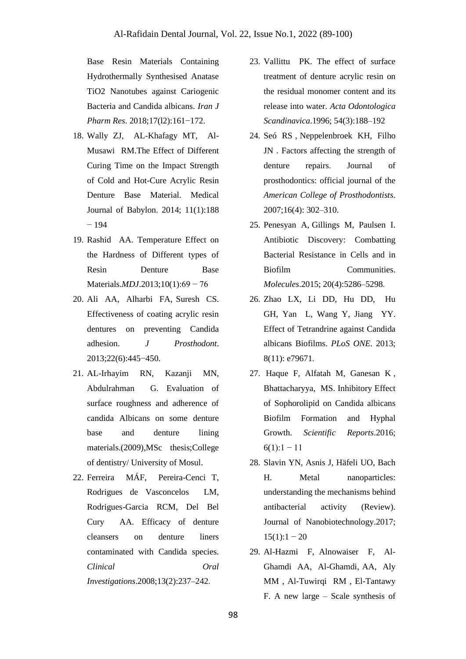Base Resin Materials Containing Hydrothermally Synthesised Anatase TiO2 Nanotubes against Cariogenic Bacteria and Candida albicans. *Iran J Pharm Res*. 2018;17(l2):161−172.

- 18. Wally ZJ, AL-Khafagy MT, Al-Musawi RM.The Effect of Different Curing Time on the Impact Strength of Cold and Hot-Cure Acrylic Resin Denture Base Material. Medical Journal of Babylon. 2014; 11(1):188  $-194$
- 19. Rashid AA. Temperature Effect on the Hardness of Different types of Resin Denture Base Materials.*MDJ*.2013;10(1):69 − 76
- 20. Ali AA, Alharbi FA, Suresh CS. Effectiveness of coating acrylic resin dentures on preventing Candida adhesion. *J Prosthodont*. 2013;22(6):445−450.
- 21. AL-Irhayim RN, Kazanji MN, Abdulrahman G. Evaluation of surface roughness and adherence of candida Albicans on some denture base and denture lining materials.(2009),MSc thesis;College of dentistry/ University of Mosul.
- 22. Ferreira MÁF, Pereira-Cenci T, Rodrigues de Vasconcelos LM, Rodrigues-Garcia RCM, Del Bel Cury AA. Efficacy of denture cleansers on denture liners contaminated with Candida species. *Clinical Oral Investigations*.2008;13(2):237–242 .
- 23. Vallittu PK. The effect of surface treatment of denture acrylic resin on the residual monomer content and its release into water. *Acta Odontologica Scandinavica*.1996; 54(3):188–192
- 24. Seó RS , Neppelenbroek KH, Filho JN . Factors affecting the strength of denture repairs. Journal of prosthodontics: official journal of the *American College of Prosthodontists*. 2007;16(4): 302–310.
- 25. Penesyan A, Gillings M, Paulsen I. Antibiotic Discovery: Combatting Bacterial Resistance in Cells and in Biofilm Communities. *Molecules*.2015; 20(4):5286–5298 .
- 26. Zhao LX, Li DD, Hu DD, Hu GH, Yan L, Wang Y, Jiang YY. Effect of Tetrandrine against Candida albicans Biofilms. *PLoS ONE*. 2013; 8(11): e79671.
- 27. Haque F, Alfatah M, Ganesan K , Bhattacharyya, MS. Inhibitory Effect of Sophorolipid on Candida albicans Biofilm Formation and Hyphal Growth. *Scientific Reports*.2016;  $6(1):1 - 11$
- 28. Slavin YN, Asnis J, Häfeli UO, Bach H. Metal nanoparticles: understanding the mechanisms behind antibacterial activity (Review). Journal of Nanobiotechnology.2017;  $15(1):1 - 20$
- 29. Al-Hazmi F, Alnowaiser F, Al-Ghamdi AA, Al-Ghamdi, AA, Aly MM , Al-Tuwirqi RM , El-Tantawy F. A new large – Scale synthesis of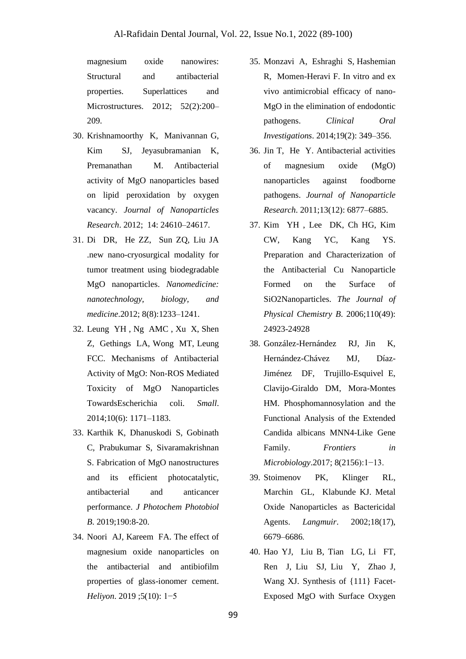magnesium oxide nanowires: Structural and antibacterial properties. Superlattices and Microstructures. 2012; 52(2):200– 209.

- 30. Krishnamoorthy K, Manivannan G, Kim SJ, Jeyasubramanian K, Premanathan M. Antibacterial activity of MgO nanoparticles based on lipid peroxidation by oxygen vacancy. *Journal of Nanoparticles Research*. 2012; 14: 24610–24617.
- 31. Di DR, He ZZ, Sun ZQ, Liu JA .new nano-cryosurgical modality for tumor treatment using biodegradable MgO nanoparticles. *Nanomedicine: nanotechnology, biology, and medicine*.2012; 8(8):1233–1241.
- 32. Leung YH , Ng AMC , Xu X, Shen Z, Gethings LA, Wong MT, Leung FCC. Mechanisms of Antibacterial Activity of MgO: Non-ROS Mediated Toxicity of MgO Nanoparticles TowardsEscherichia coli. *Small*. 2014;10(6): 1171–1183.
- 33. Karthik K, Dhanuskodi S, Gobinath C, Prabukumar S, Sivaramakrishnan S. Fabrication of MgO nanostructures and its efficient photocatalytic, antibacterial and anticancer performance. *J Photochem Photobiol B*. 2019;190:8-20.
- 34. Noori AJ, Kareem FA. The effect of magnesium oxide nanoparticles on the antibacterial and antibiofilm properties of glass-ionomer cement. *Heliyon*. 2019 ;5(10): 1−5
- 35. Monzavi A, Eshraghi S, Hashemian R, Momen-Heravi F. In vitro and ex vivo antimicrobial efficacy of nano-MgO in the elimination of endodontic pathogens. *Clinical Oral Investigations*. 2014;19(2): 349–356.
- 36. Jin T, He Y. Antibacterial activities of magnesium oxide (MgO) nanoparticles against foodborne pathogens. *Journal of Nanoparticle Research*. 2011;13(12): 6877–6885.
- 37. Kim YH , Lee DK, Ch HG, Kim CW, Kang YC, Kang YS. Preparation and Characterization of the Antibacterial Cu Nanoparticle Formed on the Surface of SiO2Nanoparticles. *The Journal of Physical Chemistry B*. 2006;110(49): 24923-24928
- 38. González-Hernández RJ, Jin K, Hernández-Chávez MJ, Díaz-Jiménez DF, Trujillo-Esquivel E, Clavijo-Giraldo DM, Mora-Montes HM. Phosphomannosylation and the Functional Analysis of the Extended Candida albicans MNN4-Like Gene Family. *Frontiers in Microbiology*.2017; 8(2156):1−13.
- 39. Stoimenov PK, Klinger RL, Marchin GL, Klabunde KJ. Metal Oxide Nanoparticles as Bactericidal Agents. *Langmuir*. 2002;18(17), 6679–6686 .
- 40. Hao YJ, Liu B, Tian LG, Li FT, Ren J, Liu SJ, Liu Y, Zhao J, Wang XJ. Synthesis of {111} Facet-Exposed MgO with Surface Oxygen